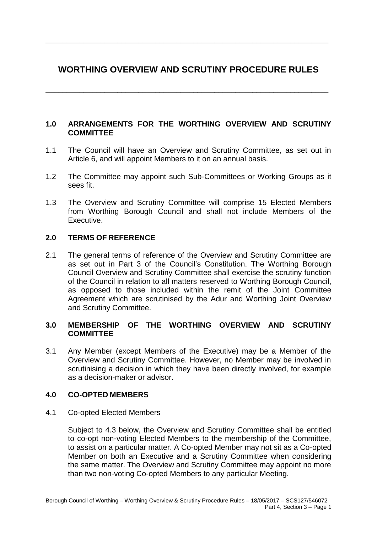# **WORTHING OVERVIEW AND SCRUTINY PROCEDURE RULES**

**\_\_\_\_\_\_\_\_\_\_\_\_\_\_\_\_\_\_\_\_\_\_\_\_\_\_\_\_\_\_\_\_\_\_\_\_\_\_\_\_\_\_\_\_\_\_\_\_\_\_\_\_\_\_\_\_\_\_\_\_\_\_\_\_\_\_\_**

**\_\_\_\_\_\_\_\_\_\_\_\_\_\_\_\_\_\_\_\_\_\_\_\_\_\_\_\_\_\_\_\_\_\_\_\_\_\_\_\_\_\_\_\_\_\_\_\_\_\_\_\_\_\_\_\_\_\_\_\_\_\_\_\_\_\_\_**

### **1.0 ARRANGEMENTS FOR THE WORTHING OVERVIEW AND SCRUTINY COMMITTEE**

- 1.1 The Council will have an Overview and Scrutiny Committee, as set out in Article 6, and will appoint Members to it on an annual basis.
- 1.2 The Committee may appoint such Sub-Committees or Working Groups as it sees fit.
- 1.3 The Overview and Scrutiny Committee will comprise 15 Elected Members from Worthing Borough Council and shall not include Members of the Executive.

### **2.0 TERMS OF REFERENCE**

2.1 The general terms of reference of the Overview and Scrutiny Committee are as set out in Part 3 of the Council's Constitution. The Worthing Borough Council Overview and Scrutiny Committee shall exercise the scrutiny function of the Council in relation to all matters reserved to Worthing Borough Council, as opposed to those included within the remit of the Joint Committee Agreement which are scrutinised by the Adur and Worthing Joint Overview and Scrutiny Committee.

### **3.0 MEMBERSHIP OF THE WORTHING OVERVIEW AND SCRUTINY COMMITTEE**

3.1 Any Member (except Members of the Executive) may be a Member of the Overview and Scrutiny Committee. However, no Member may be involved in scrutinising a decision in which they have been directly involved, for example as a decision-maker or advisor.

### **4.0 CO-OPTED MEMBERS**

4.1 Co-opted Elected Members

Subject to 4.3 below, the Overview and Scrutiny Committee shall be entitled to co-opt non-voting Elected Members to the membership of the Committee, to assist on a particular matter. A Co-opted Member may not sit as a Co-opted Member on both an Executive and a Scrutiny Committee when considering the same matter. The Overview and Scrutiny Committee may appoint no more than two non-voting Co-opted Members to any particular Meeting.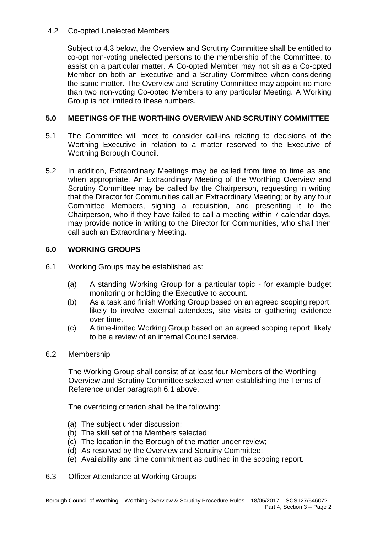### 4.2 Co-opted Unelected Members

Subject to 4.3 below, the Overview and Scrutiny Committee shall be entitled to co-opt non-voting unelected persons to the membership of the Committee, to assist on a particular matter. A Co-opted Member may not sit as a Co-opted Member on both an Executive and a Scrutiny Committee when considering the same matter. The Overview and Scrutiny Committee may appoint no more than two non-voting Co-opted Members to any particular Meeting. A Working Group is not limited to these numbers.

## **5.0 MEETINGS OF THE WORTHING OVERVIEW AND SCRUTINY COMMITTEE**

- 5.1 The Committee will meet to consider call-ins relating to decisions of the Worthing Executive in relation to a matter reserved to the Executive of Worthing Borough Council.
- 5.2 In addition, Extraordinary Meetings may be called from time to time as and when appropriate. An Extraordinary Meeting of the Worthing Overview and Scrutiny Committee may be called by the Chairperson, requesting in writing that the Director for Communities call an Extraordinary Meeting; or by any four Committee Members, signing a requisition, and presenting it to the Chairperson, who if they have failed to call a meeting within 7 calendar days, may provide notice in writing to the Director for Communities, who shall then call such an Extraordinary Meeting.

### **6.0 WORKING GROUPS**

- 6.1 Working Groups may be established as:
	- (a) A standing Working Group for a particular topic for example budget monitoring or holding the Executive to account.
	- (b) As a task and finish Working Group based on an agreed scoping report, likely to involve external attendees, site visits or gathering evidence over time.
	- (c) A time-limited Working Group based on an agreed scoping report, likely to be a review of an internal Council service.
- 6.2 Membership

The Working Group shall consist of at least four Members of the Worthing Overview and Scrutiny Committee selected when establishing the Terms of Reference under paragraph 6.1 above.

The overriding criterion shall be the following:

- (a) The subject under discussion;
- (b) The skill set of the Members selected;
- (c) The location in the Borough of the matter under review;
- (d) As resolved by the Overview and Scrutiny Committee;
- (e) Availability and time commitment as outlined in the scoping report.
- 6.3 Officer Attendance at Working Groups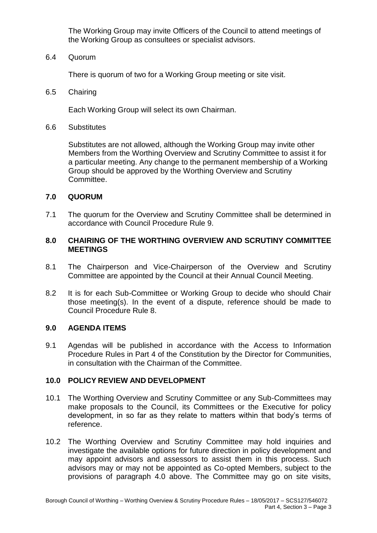The Working Group may invite Officers of the Council to attend meetings of the Working Group as consultees or specialist advisors.

6.4 Quorum

There is quorum of two for a Working Group meeting or site visit.

6.5 Chairing

Each Working Group will select its own Chairman.

6.6 Substitutes

Substitutes are not allowed, although the Working Group may invite other Members from the Worthing Overview and Scrutiny Committee to assist it for a particular meeting. Any change to the permanent membership of a Working Group should be approved by the Worthing Overview and Scrutiny Committee.

#### **7.0 QUORUM**

7.1 The quorum for the Overview and Scrutiny Committee shall be determined in accordance with Council Procedure Rule 9.

#### **8.0 CHAIRING OF THE WORTHING OVERVIEW AND SCRUTINY COMMITTEE MEETINGS**

- 8.1 The Chairperson and Vice-Chairperson of the Overview and Scrutiny Committee are appointed by the Council at their Annual Council Meeting.
- 8.2 It is for each Sub-Committee or Working Group to decide who should Chair those meeting(s). In the event of a dispute, reference should be made to Council Procedure Rule 8.

#### **9.0 AGENDA ITEMS**

9.1 Agendas will be published in accordance with the Access to Information Procedure Rules in Part 4 of the Constitution by the Director for Communities, in consultation with the Chairman of the Committee.

#### **10.0 POLICY REVIEW AND DEVELOPMENT**

- 10.1 The Worthing Overview and Scrutiny Committee or any Sub-Committees may make proposals to the Council, its Committees or the Executive for policy development, in so far as they relate to matters within that body's terms of reference.
- 10.2 The Worthing Overview and Scrutiny Committee may hold inquiries and investigate the available options for future direction in policy development and may appoint advisors and assessors to assist them in this process. Such advisors may or may not be appointed as Co-opted Members, subject to the provisions of paragraph 4.0 above. The Committee may go on site visits,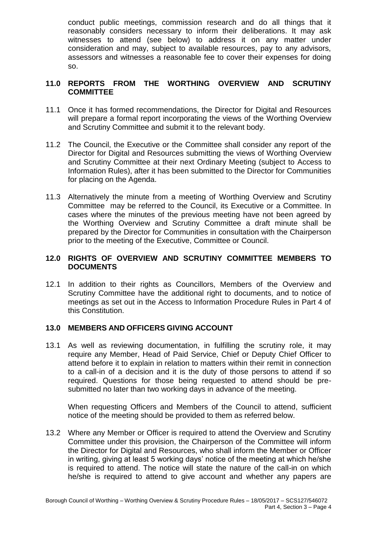conduct public meetings, commission research and do all things that it reasonably considers necessary to inform their deliberations. It may ask witnesses to attend (see below) to address it on any matter under consideration and may, subject to available resources, pay to any advisors, assessors and witnesses a reasonable fee to cover their expenses for doing so.

## **11.0 REPORTS FROM THE WORTHING OVERVIEW AND SCRUTINY COMMITTEE**

- 11.1 Once it has formed recommendations, the Director for Digital and Resources will prepare a formal report incorporating the views of the Worthing Overview and Scrutiny Committee and submit it to the relevant body.
- 11.2 The Council, the Executive or the Committee shall consider any report of the Director for Digital and Resources submitting the views of Worthing Overview and Scrutiny Committee at their next Ordinary Meeting (subject to Access to Information Rules), after it has been submitted to the Director for Communities for placing on the Agenda.
- 11.3 Alternatively the minute from a meeting of Worthing Overview and Scrutiny Committee may be referred to the Council, its Executive or a Committee. In cases where the minutes of the previous meeting have not been agreed by the Worthing Overview and Scrutiny Committee a draft minute shall be prepared by the Director for Communities in consultation with the Chairperson prior to the meeting of the Executive, Committee or Council.

### **12.0 RIGHTS OF OVERVIEW AND SCRUTINY COMMITTEE MEMBERS TO DOCUMENTS**

12.1 In addition to their rights as Councillors, Members of the Overview and Scrutiny Committee have the additional right to documents, and to notice of meetings as set out in the Access to Information Procedure Rules in Part 4 of this Constitution.

### **13.0 MEMBERS AND OFFICERS GIVING ACCOUNT**

13.1 As well as reviewing documentation, in fulfilling the scrutiny role, it may require any Member, Head of Paid Service, Chief or Deputy Chief Officer to attend before it to explain in relation to matters within their remit in connection to a call-in of a decision and it is the duty of those persons to attend if so required. Questions for those being requested to attend should be presubmitted no later than two working days in advance of the meeting.

When requesting Officers and Members of the Council to attend, sufficient notice of the meeting should be provided to them as referred below.

13.2 Where any Member or Officer is required to attend the Overview and Scrutiny Committee under this provision, the Chairperson of the Committee will inform the Director for Digital and Resources, who shall inform the Member or Officer in writing, giving at least 5 working days' notice of the meeting at which he/she is required to attend. The notice will state the nature of the call-in on which he/she is required to attend to give account and whether any papers are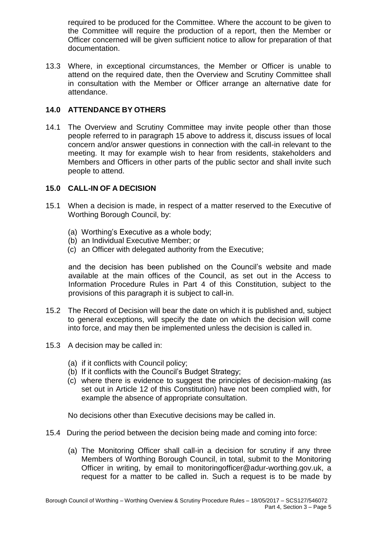required to be produced for the Committee. Where the account to be given to the Committee will require the production of a report, then the Member or Officer concerned will be given sufficient notice to allow for preparation of that documentation.

13.3 Where, in exceptional circumstances, the Member or Officer is unable to attend on the required date, then the Overview and Scrutiny Committee shall in consultation with the Member or Officer arrange an alternative date for attendance.

# **14.0 ATTENDANCE BY OTHERS**

14.1 The Overview and Scrutiny Committee may invite people other than those people referred to in paragraph 15 above to address it, discuss issues of local concern and/or answer questions in connection with the call-in relevant to the meeting. It may for example wish to hear from residents, stakeholders and Members and Officers in other parts of the public sector and shall invite such people to attend.

### **15.0 CALL-IN OF A DECISION**

- 15.1 When a decision is made, in respect of a matter reserved to the Executive of Worthing Borough Council, by:
	- (a) Worthing's Executive as a whole body;
	- (b) an Individual Executive Member; or
	- (c) an Officer with delegated authority from the Executive;

and the decision has been published on the Council's website and made available at the main offices of the Council, as set out in the Access to Information Procedure Rules in Part 4 of this Constitution, subject to the provisions of this paragraph it is subject to call-in.

- 15.2 The Record of Decision will bear the date on which it is published and, subject to general exceptions, will specify the date on which the decision will come into force, and may then be implemented unless the decision is called in.
- 15.3 A decision may be called in:
	- (a) if it conflicts with Council policy;
	- (b) If it conflicts with the Council's Budget Strategy;
	- (c) where there is evidence to suggest the principles of decision-making (as set out in Article 12 of this Constitution) have not been complied with, for example the absence of appropriate consultation.

No decisions other than Executive decisions may be called in.

- 15.4 During the period between the decision being made and coming into force:
	- (a) The Monitoring Officer shall call-in a decision for scrutiny if any three Members of Worthing Borough Council, in total, submit to the Monitoring Officer in writing, by email to [monitoringofficer@adur-worthing.gov.uk,](mailto:monitoringofficer@adur-worthing.gov.uk) a request for a matter to be called in. Such a request is to be made by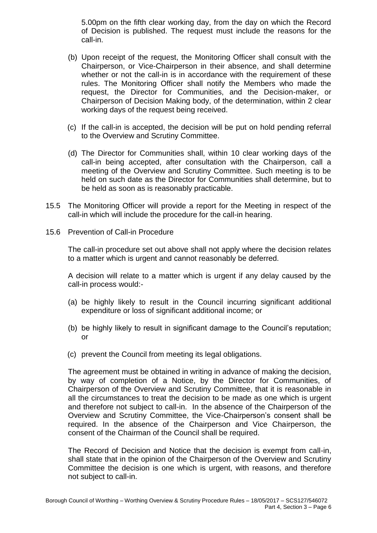5.00pm on the fifth clear working day, from the day on which the Record of Decision is published. The request must include the reasons for the call-in.

- (b) Upon receipt of the request, the Monitoring Officer shall consult with the Chairperson, or Vice-Chairperson in their absence, and shall determine whether or not the call-in is in accordance with the requirement of these rules. The Monitoring Officer shall notify the Members who made the request, the Director for Communities, and the Decision-maker, or Chairperson of Decision Making body, of the determination, within 2 clear working days of the request being received.
- (c) If the call-in is accepted, the decision will be put on hold pending referral to the Overview and Scrutiny Committee.
- (d) The Director for Communities shall, within 10 clear working days of the call-in being accepted, after consultation with the Chairperson, call a meeting of the Overview and Scrutiny Committee. Such meeting is to be held on such date as the Director for Communities shall determine, but to be held as soon as is reasonably practicable.
- 15.5 The Monitoring Officer will provide a report for the Meeting in respect of the call-in which will include the procedure for the call-in hearing.
- 15.6 Prevention of Call-in Procedure

The call-in procedure set out above shall not apply where the decision relates to a matter which is urgent and cannot reasonably be deferred.

A decision will relate to a matter which is urgent if any delay caused by the call-in process would:-

- (a) be highly likely to result in the Council incurring significant additional expenditure or loss of significant additional income; or
- (b) be highly likely to result in significant damage to the Council's reputation; or
- (c) prevent the Council from meeting its legal obligations.

The agreement must be obtained in writing in advance of making the decision, by way of completion of a Notice, by the Director for Communities, of Chairperson of the Overview and Scrutiny Committee, that it is reasonable in all the circumstances to treat the decision to be made as one which is urgent and therefore not subject to call-in. In the absence of the Chairperson of the Overview and Scrutiny Committee, the Vice-Chairperson's consent shall be required. In the absence of the Chairperson and Vice Chairperson, the consent of the Chairman of the Council shall be required.

The Record of Decision and Notice that the decision is exempt from call-in, shall state that in the opinion of the Chairperson of the Overview and Scrutiny Committee the decision is one which is urgent, with reasons, and therefore not subject to call-in.